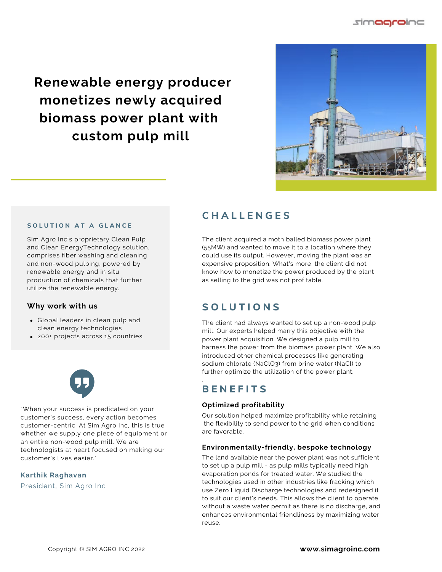simaaroir

**Renewable energy producer monetizes newly acquired biomass power plant with custom pulp mill**



#### **S O L U T I O N A T A G L A N C E**

Sim Agro Inc's proprietary Clean Pulp and Clean EnergyTechnology solution, comprises fiber washing and cleaning and non-wood pulping, powered by renewable energy and in situ production of chemicals that further utilize the renewable energy.

## **Why work with us**

- Global leaders in clean pulp and clean energy technologies
- 200+ projects across 15 countries



"When your success is predicated on your customer's success, every action becomes customer-centric. At Sim Agro Inc, this is true whether we supply one piece of equipment or an entire non-wood pulp mill. We are technologists at heart focused on making our customer's lives easier."

#### **Karthik Raghavan**

President, Sim Agro Inc

## **C H A L L E N G E S**

The client acquired a moth balled biomass power plant (55MW) and wanted to move it to a location where they could use its output. However, moving the plant was an expensive proposition. What's more, the client did not know how to monetize the power produced by the plant as selling to the grid was not profitable.

## **S O L U T I O N S**

The client had always wanted to set up a non-wood pulp mill. Our experts helped marry this objective with the power plant acquisition. We designed a pulp mill to harness the power from the biomass power plant. We also introduced other chemical processes like generating sodium chlorate (NaClO3) from brine water (NaCl) to further optimize the utilization of the power plant.

## **B E N E F I T S**

.

## **Optimized profitability**

Our solution helped maximize profitability while retaining the flexibility to send power to the grid when conditions are favorable.

## **Environmentally-friendly, bespoke technology**

The land available near the power plant was not sufficient to set up a pulp mill - as pulp mills typically need high evaporation ponds for treated water. We studied the technologies used in other industries like fracking which use Zero Liquid Discharge technologies and redesigned it to suit our client's needs. This allows the client to operate without a waste water permit as there is no discharge, and enhances environmental friendliness by maximizing water reuse.